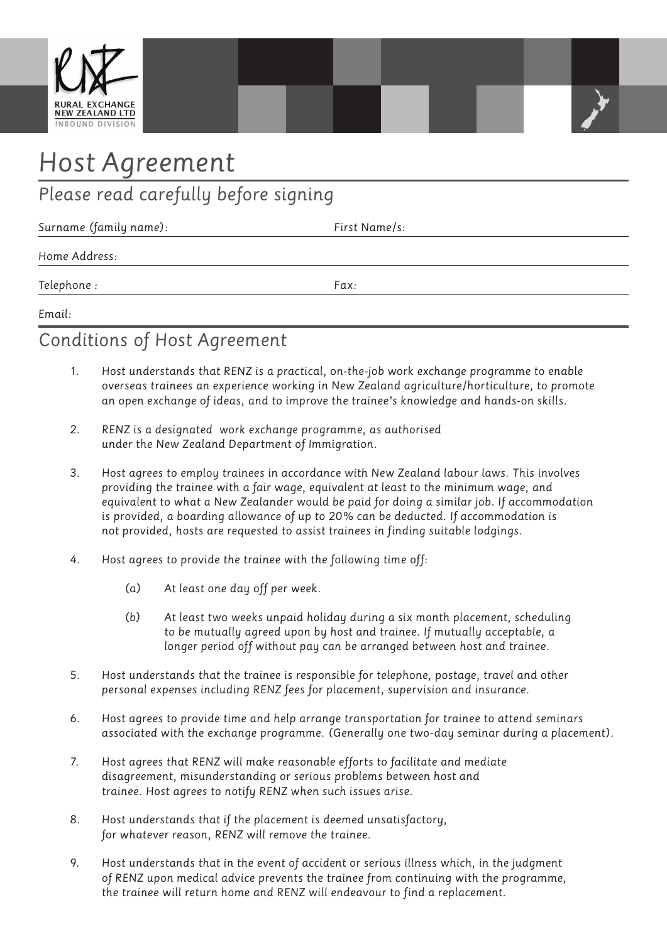

# *Host Agreement*

# *Please read carefully before signing*

| Surname (family name): | First Name/s: |  |
|------------------------|---------------|--|
| Home Address:          |               |  |
| Telephone :            | Fax:          |  |

*Email:*

## *Conditions of Host Agreement*

- *1. Host understands that RENZ is a practical, on-the-job work exchange programme to enable overseas trainees an experience working in New Zealand agriculture/horticulture, to promote an open exchange of ideas, and to improve the trainee's knowledge and hands-on skills.*
- *2. RENZ is a designated work exchange programme, as authorised under the New Zealand Department of Immigration.*
- *3. Host agrees to employ trainees in accordance with New Zealand labour laws. This involves providing the trainee with a fair wage, equivalent at least to the minimum wage, and equivalent to what a New Zealander would be paid for doing a similar job. If accommodation is provided, a boarding allowance of up to 20% can be deducted. If accommodation is not provided, hosts are requested to assist trainees in finding suitable lodgings.*
- *4. Host agrees to provide the trainee with the following time off:*
	- *(a) At least one day off per week.*
	- *(b) At least two weeks unpaid holiday during a six month placement, scheduling to be mutually agreed upon by host and trainee. If mutually acceptable, a longer period off without pay can be arranged between host and trainee.*
- *5. Host understands that the trainee is responsible for telephone, postage, travel and other personal expenses including RENZ fees for placement, supervision and insurance.*
- *6. Host agrees to provide time and help arrange transportation for trainee to attend seminars associated with the exchange programme. (Generally one two-day seminar during a placement).*
- *7. Host agrees that RENZ will make reasonable efforts to facilitate and mediate disagreement, misunderstanding or serious problems between host and trainee. Host agrees to notify RENZ when such issues arise.*
- *8. Host understands that if the placement is deemed unsatisfactory, for whatever reason, RENZ will remove the trainee.*
- *9. Host understands that in the event of accident or serious illness which, in the judgment of RENZ upon medical advice prevents the trainee from continuing with the programme, the trainee will return home and RENZ will endeavour to find a replacement.*